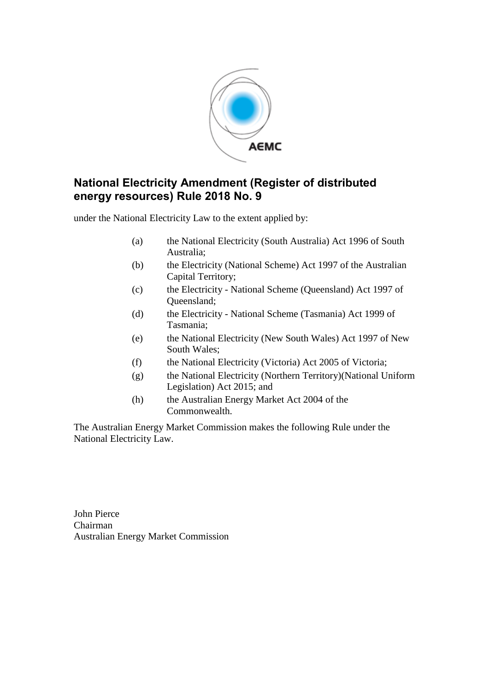

## **National Electricity Amendment (Register of distributed energy resources) Rule 2018 No. 9**

under the National Electricity Law to the extent applied by:

- (a) the National Electricity (South Australia) Act 1996 of South Australia;
- (b) the Electricity (National Scheme) Act 1997 of the Australian Capital Territory;
- (c) the Electricity National Scheme (Queensland) Act 1997 of Queensland;
- (d) the Electricity National Scheme (Tasmania) Act 1999 of Tasmania;
- (e) the National Electricity (New South Wales) Act 1997 of New South Wales;
- (f) the National Electricity (Victoria) Act 2005 of Victoria;
- (g) the National Electricity (Northern Territory)(National Uniform Legislation) Act 2015; and
- (h) the Australian Energy Market Act 2004 of the Commonwealth.

The Australian Energy Market Commission makes the following Rule under the National Electricity Law.

John Pierce Chairman Australian Energy Market Commission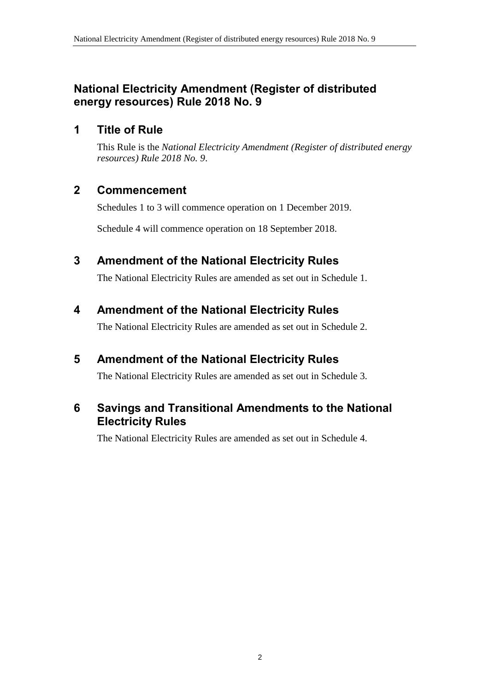## **National Electricity Amendment (Register of distributed energy resources) Rule 2018 No. 9**

## **1 Title of Rule**

This Rule is the *National Electricity Amendment (Register of distributed energy resources) Rule 2018 No. 9*.

## **2 Commencement**

Schedules 1 to 3 will commence operation on 1 December 2019.

Schedule 4 will commence operation on 18 September 2018.

## <span id="page-1-0"></span>**3 Amendment of the National Electricity Rules**

The National Electricity Rules are amended as set out in [Schedule 1.](#page-2-0)

## <span id="page-1-1"></span>**4 Amendment of the National Electricity Rules**

The National Electricity Rules are amended as set out in [Schedule 2.](#page-7-0)

# <span id="page-1-2"></span>**5 Amendment of the National Electricity Rules**

The National Electricity Rules are amended as set out in Schedule 3.

## <span id="page-1-3"></span>**6 Savings and Transitional Amendments to the National Electricity Rules**

The National Electricity Rules are amended as set out in [Schedule 4.](#page-10-0)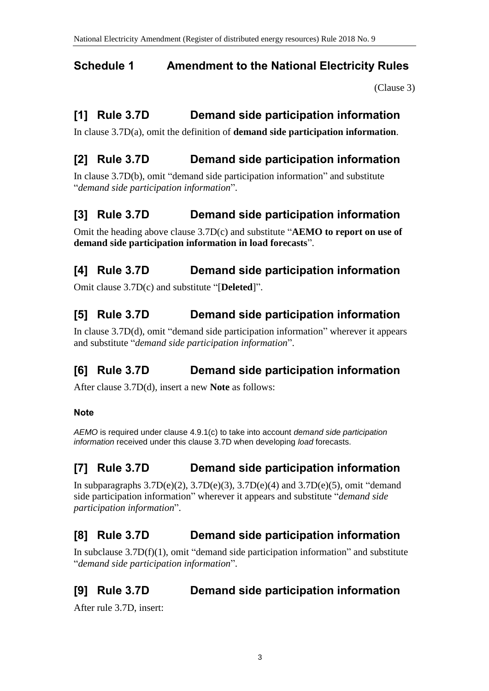# <span id="page-2-0"></span>**Schedule 1 Amendment to the National Electricity Rules**

[\(Clause 3\)](#page-1-0)

# **[1] Rule 3.7D Demand side participation information**

In clause 3.7D(a), omit the definition of **demand side participation information**.

# **[2] Rule 3.7D Demand side participation information**

In clause 3.7D(b), omit "demand side participation information" and substitute "*demand side participation information*".

# **[3] Rule 3.7D Demand side participation information**

Omit the heading above clause 3.7D(c) and substitute "**AEMO to report on use of demand side participation information in load forecasts**".

# **[4] Rule 3.7D Demand side participation information**

Omit clause 3.7D(c) and substitute "[**Deleted**]".

# **[5] Rule 3.7D Demand side participation information**

In clause 3.7D(d), omit "demand side participation information" wherever it appears and substitute "*demand side participation information*".

# **[6] Rule 3.7D Demand side participation information**

After clause 3.7D(d), insert a new **Note** as follows:

### **Note**

*AEMO* is required under clause 4.9.1(c) to take into account *demand side participation information* received under this clause 3.7D when developing *load* forecasts.

# **[7] Rule 3.7D Demand side participation information**

In subparagraphs  $3.7D(e)(2)$ ,  $3.7D(e)(3)$ ,  $3.7D(e)(4)$  and  $3.7D(e)(5)$ , omit "demand side participation information" wherever it appears and substitute "*demand side participation information*".

# **[8] Rule 3.7D Demand side participation information**

In subclause  $3.7D(f)(1)$ , omit "demand side participation information" and substitute "*demand side participation information*".

# **[9] Rule 3.7D Demand side participation information**

After rule 3.7D, insert: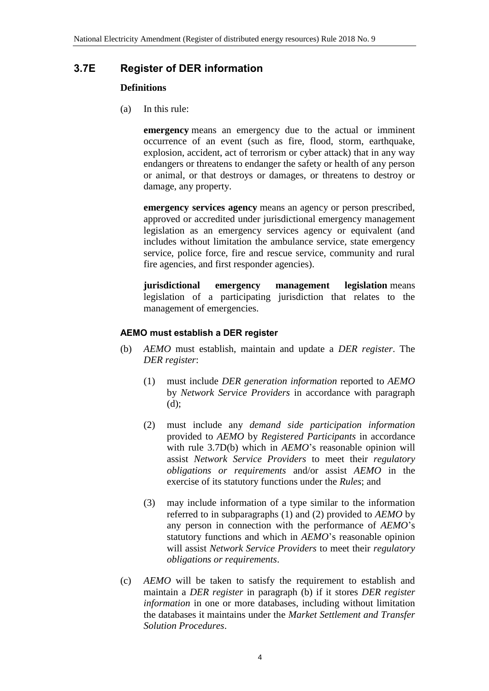### **3.7E Register of DER information**

#### **Definitions**

(a) In this rule:

**emergency** means an emergency due to the actual or imminent occurrence of an event (such as fire, flood, storm, earthquake, explosion, accident, act of terrorism or cyber attack) that in any way endangers or threatens to endanger the safety or health of any person or animal, or that destroys or damages, or threatens to destroy or damage, any property.

**emergency services agency** means an agency or person prescribed, approved or accredited under jurisdictional emergency management legislation as an emergency services agency or equivalent (and includes without limitation the ambulance service, state emergency service, police force, fire and rescue service, community and rural fire agencies, and first responder agencies).

**jurisdictional emergency management legislation** means legislation of a participating jurisdiction that relates to the management of emergencies.

### **AEMO must establish a DER register**

- (b) *AEMO* must establish, maintain and update a *DER register*. The *DER register*:
	- (1) must include *DER generation information* reported to *AEMO* by *Network Service Providers* in accordance with paragraph (d);
	- (2) must include any *demand side participation information* provided to *AEMO* by *Registered Participants* in accordance with rule 3.7D(b) which in *AEMO*'s reasonable opinion will assist *Network Service Providers* to meet their *regulatory obligations or requirements* and/or assist *AEMO* in the exercise of its statutory functions under the *Rules*; and
	- (3) may include information of a type similar to the information referred to in subparagraphs (1) and (2) provided to *AEMO* by any person in connection with the performance of *AEMO*'s statutory functions and which in *AEMO*'s reasonable opinion will assist *Network Service Providers* to meet their *regulatory obligations or requirements*.
- (c) *AEMO* will be taken to satisfy the requirement to establish and maintain a *DER register* in paragraph (b) if it stores *DER register information* in one or more databases, including without limitation the databases it maintains under the *Market Settlement and Transfer Solution Procedures*.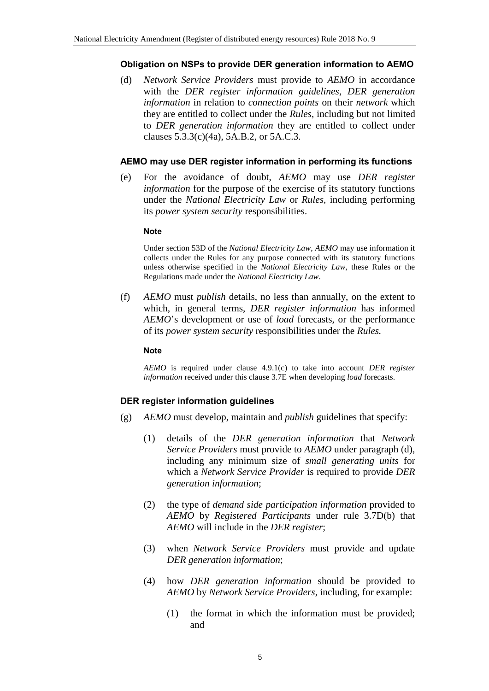#### **Obligation on NSPs to provide DER generation information to AEMO**

(d) *Network Service Providers* must provide to *AEMO* in accordance with the *DER register information guidelines*, *DER generation information* in relation to *connection points* on their *network* which they are entitled to collect under the *Rules*, including but not limited to *DER generation information* they are entitled to collect under clauses 5.3.3(c)(4a), 5A.B.2, or 5A.C.3.

#### **AEMO may use DER register information in performing its functions**

(e) For the avoidance of doubt, *AEMO* may use *DER register information* for the purpose of the exercise of its statutory functions under the *National Electricity Law* or *Rules*, including performing its *power system security* responsibilities.

#### **Note**

Under section 53D of the *National Electricity Law*, *AEMO* may use information it collects under the Rules for any purpose connected with its statutory functions unless otherwise specified in the *National Electricity Law*, these Rules or the Regulations made under the *National Electricity Law*.

(f) *AEMO* must *publish* details, no less than annually, on the extent to which, in general terms, *DER register information* has informed *AEMO*'s development or use of *load* forecasts, or the performance of its *power system security* responsibilities under the *Rules.*

#### **Note**

*AEMO* is required under clause 4.9.1(c) to take into account *DER register information* received under this clause 3.7E when developing *load* forecasts.

#### **DER register information guidelines**

- (g) *AEMO* must develop, maintain and *publish* guidelines that specify:
	- (1) details of the *DER generation information* that *Network Service Providers* must provide to *AEMO* under paragraph (d), including any minimum size of *small generating units* for which a *Network Service Provider* is required to provide *DER generation information*;
	- (2) the type of *demand side participation information* provided to *AEMO* by *Registered Participants* under rule 3.7D(b) that *AEMO* will include in the *DER register*;
	- (3) when *Network Service Providers* must provide and update *DER generation information*;
	- (4) how *DER generation information* should be provided to *AEMO* by *Network Service Providers*, including, for example:
		- (1) the format in which the information must be provided; and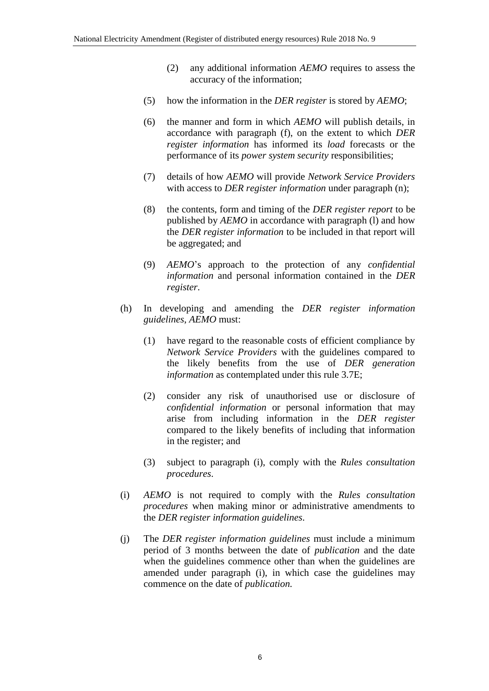- (2) any additional information *AEMO* requires to assess the accuracy of the information;
- (5) how the information in the *DER register* is stored by *AEMO*;
- (6) the manner and form in which *AEMO* will publish details, in accordance with paragraph (f), on the extent to which *DER register information* has informed its *load* forecasts or the performance of its *power system security* responsibilities;
- (7) details of how *AEMO* will provide *Network Service Providers* with access to *DER register information* under paragraph (n);
- (8) the contents, form and timing of the *DER register report* to be published by *AEMO* in accordance with paragraph (l) and how the *DER register information* to be included in that report will be aggregated; and
- (9) *AEMO*'s approach to the protection of any *confidential information* and personal information contained in the *DER register*.
- (h) In developing and amending the *DER register information guidelines*, *AEMO* must:
	- (1) have regard to the reasonable costs of efficient compliance by *Network Service Providers* with the guidelines compared to the likely benefits from the use of *DER generation information* as contemplated under this rule 3.7E;
	- (2) consider any risk of unauthorised use or disclosure of *confidential information* or personal information that may arise from including information in the *DER register* compared to the likely benefits of including that information in the register; and
	- (3) subject to paragraph (i), comply with the *Rules consultation procedures*.
- (i) *AEMO* is not required to comply with the *Rules consultation procedures* when making minor or administrative amendments to the *DER register information guidelines*.
- (j) The *DER register information guidelines* must include a minimum period of 3 months between the date of *publication* and the date when the guidelines commence other than when the guidelines are amended under paragraph (i), in which case the guidelines may commence on the date of *publication.*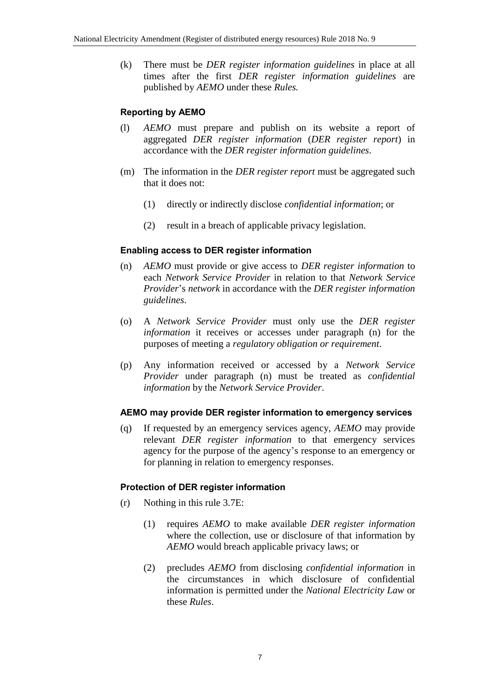(k) There must be *DER register information guidelines* in place at all times after the first *DER register information guidelines* are published by *AEMO* under these *Rules.*

### **Reporting by AEMO**

- (l) *AEMO* must prepare and publish on its website a report of aggregated *DER register information* (*DER register report*) in accordance with the *DER register information guidelines*.
- (m) The information in the *DER register report* must be aggregated such that it does not:
	- (1) directly or indirectly disclose *confidential information*; or
	- (2) result in a breach of applicable privacy legislation.

### **Enabling access to DER register information**

- (n) *AEMO* must provide or give access to *DER register information* to each *Network Service Provider* in relation to that *Network Service Provider*'s *network* in accordance with the *DER register information guidelines*.
- (o) A *Network Service Provider* must only use the *DER register information* it receives or accesses under paragraph (n) for the purposes of meeting a *regulatory obligation or requirement*.
- (p) Any information received or accessed by a *Network Service Provider* under paragraph (n) must be treated as *confidential information* by the *Network Service Provider*.

#### **AEMO may provide DER register information to emergency services**

(q) If requested by an emergency services agency, *AEMO* may provide relevant *DER register information* to that emergency services agency for the purpose of the agency's response to an emergency or for planning in relation to emergency responses.

#### **Protection of DER register information**

- (r) Nothing in this rule 3.7E:
	- (1) requires *AEMO* to make available *DER register information* where the collection, use or disclosure of that information by *AEMO* would breach applicable privacy laws; or
	- (2) precludes *AEMO* from disclosing *confidential information* in the circumstances in which disclosure of confidential information is permitted under the *National Electricity Law* or these *Rules*.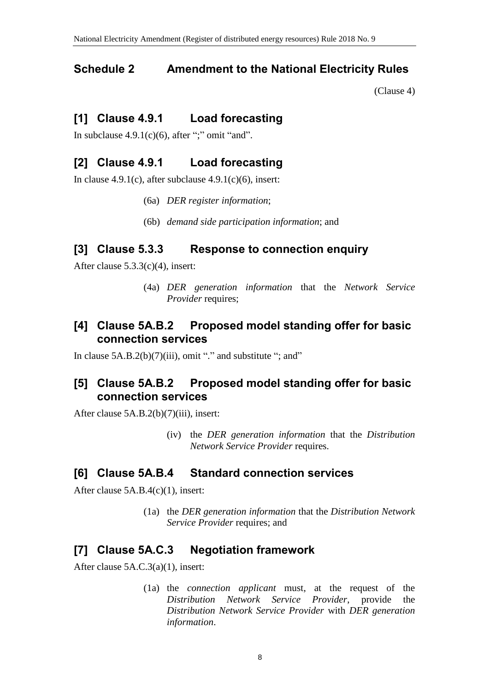## <span id="page-7-0"></span>**Schedule 2 Amendment to the National Electricity Rules**

[\(Clause 4\)](#page-1-1)

## **[1] Clause 4.9.1 Load forecasting**

In subclause  $4.9.1(c)(6)$ , after ";" omit "and".

# **[2] Clause 4.9.1 Load forecasting**

In clause  $4.9.1(c)$ , after subclause  $4.9.1(c)(6)$ , insert:

- (6a) *DER register information*;
- (6b) *demand side participation information*; and

## **[3] Clause 5.3.3 Response to connection enquiry**

After clause 5.3.3(c)(4), insert:

(4a) *DER generation information* that the *Network Service Provider* requires;

### **[4] Clause 5A.B.2 Proposed model standing offer for basic connection services**

In clause  $5A.B.2(b)(7)(iii)$ , omit "." and substitute "; and"

## **[5] Clause 5A.B.2 Proposed model standing offer for basic connection services**

After clause 5A.B.2(b)(7)(iii), insert:

(iv) the *DER generation information* that the *Distribution Network Service Provider* requires.

## **[6] Clause 5A.B.4 Standard connection services**

After clause 5A.B.4(c)(1), insert:

(1a) the *DER generation information* that the *Distribution Network Service Provider* requires; and

# **[7] Clause 5A.C.3 Negotiation framework**

After clause 5A.C.3(a)(1), insert:

(1a) the *connection applicant* must, at the request of the *Distribution Network Service Provider*, provide the *Distribution Network Service Provider* with *DER generation information*.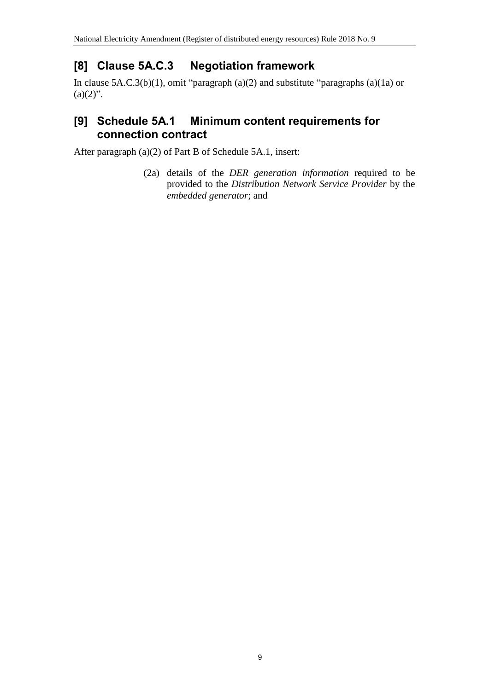# **[8] Clause 5A.C.3 Negotiation framework**

In clause 5A.C.3(b)(1), omit "paragraph (a)(2) and substitute "paragraphs (a)(1a) or  $(a)(2)$ ".

## **[9] Schedule 5A.1 Minimum content requirements for connection contract**

After paragraph (a)(2) of Part B of Schedule 5A.1, insert:

(2a) details of the *DER generation information* required to be provided to the *Distribution Network Service Provider* by the *embedded generator*; and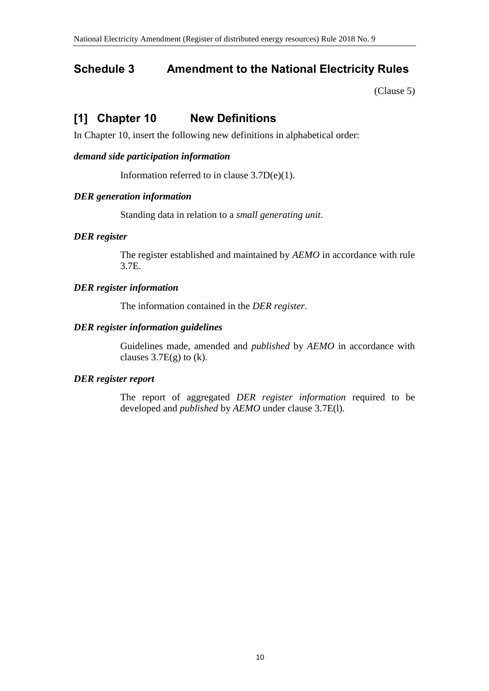# **Schedule 3 Amendment to the National Electricity Rules**

[\(Clause 5\)](#page-1-2)

# **[1] Chapter 10 New Definitions**

In Chapter 10, insert the following new definitions in alphabetical order:

### *demand side participation information*

Information referred to in clause 3.7D(e)(1).

### *DER generation information*

Standing data in relation to a *small generating unit*.

### *DER register*

The register established and maintained by *AEMO* in accordance with rule 3.7E.

### *DER register information*

The information contained in the *DER register*.

### *DER register information guidelines*

Guidelines made, amended and *published* by *AEMO* in accordance with clauses  $3.7E(g)$  to (k).

### *DER register report*

The report of aggregated *DER register information* required to be developed and *published* by *AEMO* under clause 3.7E(l).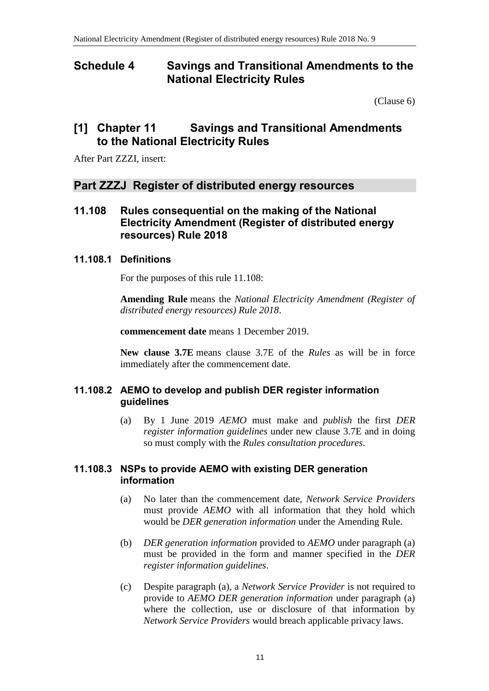### <span id="page-10-0"></span>**Schedule 4 Savings and Transitional Amendments to the National Electricity Rules**

[\(Clause 6\)](#page-1-3)

### **[1] Chapter 11 Savings and Transitional Amendments to the National Electricity Rules**

After Part ZZZI, insert:

### **Part ZZZJ Register of distributed energy resources**

**11.108 Rules consequential on the making of the National Electricity Amendment (Register of distributed energy resources) Rule 2018**

### **11.108.1 Definitions**

For the purposes of this rule 11.108:

**Amending Rule** means the *National Electricity Amendment (Register of distributed energy resources) Rule 2018*.

**commencement date** means 1 December 2019.

**New clause 3.7E** means clause 3.7E of the *Rules* as will be in force immediately after the commencement date.

### **11.108.2 AEMO to develop and publish DER register information guidelines**

(a) By 1 June 2019 *AEMO* must make and *publish* the first *DER register information guidelines* under new clause 3.7E and in doing so must comply with the *Rules consultation procedures*.

#### **11.108.3 NSPs to provide AEMO with existing DER generation information**

- (a) No later than the commencement date, *Network Service Providers* must provide *AEMO* with all information that they hold which would be *DER generation information* under the Amending Rule.
- (b) *DER generation information* provided to *AEMO* under paragraph (a) must be provided in the form and manner specified in the *DER register information guidelines*.
- (c) Despite paragraph (a), a *Network Service Provider* is not required to provide to *AEMO DER generation information* under paragraph (a) where the collection, use or disclosure of that information by *Network Service Providers* would breach applicable privacy laws.